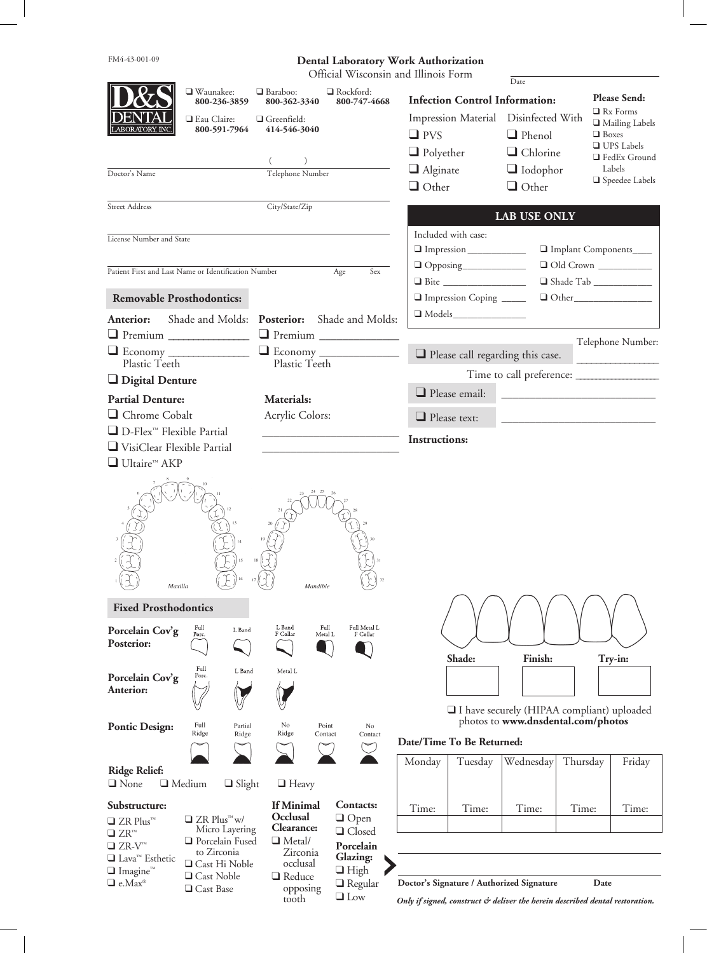| FM4-43-001-09                                                                                   |                                             |                                                |                                  | <b>Dental Laboratory Work Authorization</b>                                   |                                            |                                 |        |  |
|-------------------------------------------------------------------------------------------------|---------------------------------------------|------------------------------------------------|----------------------------------|-------------------------------------------------------------------------------|--------------------------------------------|---------------------------------|--------|--|
|                                                                                                 | Official Wisconsin and Illinois Form        |                                                |                                  |                                                                               |                                            |                                 |        |  |
|                                                                                                 | □ Waunakee:<br>800-236-3859                 | $\Box$ Baraboo:<br>800-362-3340                | $\Box$ Rockford:<br>800-747-4668 | Date<br>Please Send:<br><b>Infection Control Information:</b>                 |                                            |                                 |        |  |
|                                                                                                 | Eau Claire:                                 | $\Box$ Greenfield:                             |                                  | Impression Material                                                           | Disinfected With                           | $\Box$ Rx Forms                 |        |  |
|                                                                                                 | 800-591-7964                                | 414-546-3040                                   |                                  | $\square$ PVS                                                                 | $\Box$ Phenol                              | Mailing Labels<br>$\Box$ Boxes  |        |  |
|                                                                                                 |                                             |                                                |                                  | $\Box$ Polyether                                                              | $\Box$ Chlorine                            | $\Box$ UPS Labels               |        |  |
|                                                                                                 |                                             |                                                |                                  |                                                                               |                                            | □ FedEx Ground                  |        |  |
| Doctor's Name                                                                                   |                                             | Telephone Number                               |                                  | $\Box$ Alginate                                                               | $\Box$ Iodophor                            | Labels<br>$\Box$ Speedee Labels |        |  |
|                                                                                                 |                                             |                                                |                                  | $\Box$ Other                                                                  | $\Box$ Other                               |                                 |        |  |
| <b>Street Address</b><br>City/State/Zip                                                         |                                             |                                                |                                  |                                                                               | <b>LAB USE ONLY</b>                        |                                 |        |  |
| License Number and State                                                                        |                                             |                                                |                                  | Included with case:                                                           |                                            |                                 |        |  |
|                                                                                                 |                                             |                                                |                                  | Impression                                                                    |                                            | Implant Components              |        |  |
| Patient First and Last Name or Identification Number                                            |                                             |                                                | Sex<br>Age                       |                                                                               |                                            | Old Crown                       |        |  |
|                                                                                                 |                                             |                                                |                                  |                                                                               |                                            |                                 |        |  |
| <b>Removable Prosthodontics:</b>                                                                |                                             |                                                |                                  | Impression Coping                                                             |                                            | $\Box$ Other                    |        |  |
| Anterior:                                                                                       |                                             |                                                |                                  | $\Box$ Models                                                                 |                                            |                                 |        |  |
|                                                                                                 | Shade and Molds: Posterior:                 |                                                | Shade and Molds:                 |                                                                               |                                            |                                 |        |  |
| Premium                                                                                         |                                             |                                                |                                  |                                                                               |                                            | Telephone Number:               |        |  |
| Plastic Teeth                                                                                   |                                             | Plastic Teeth                                  |                                  |                                                                               | $\Box$ Please call regarding this case.    |                                 |        |  |
|                                                                                                 |                                             |                                                |                                  |                                                                               |                                            |                                 |        |  |
| Digital Denture                                                                                 |                                             |                                                |                                  | $\Box$ Please email:                                                          |                                            |                                 |        |  |
| <b>Partial Denture:</b>                                                                         |                                             | Materials:                                     |                                  |                                                                               |                                            |                                 |        |  |
| Chrome Cobalt                                                                                   |                                             | Acrylic Colors:                                |                                  | $\Box$ Please text:                                                           |                                            |                                 |        |  |
| □ D-Flex <sup>™</sup> Flexible Partial                                                          |                                             |                                                |                                  | <b>Instructions:</b>                                                          |                                            |                                 |        |  |
| VisiClear Flexible Partial                                                                      |                                             |                                                |                                  |                                                                               |                                            |                                 |        |  |
| $\Box$ Ultaire <sup>™</sup> AKP                                                                 |                                             |                                                |                                  |                                                                               |                                            |                                 |        |  |
| Maxilla                                                                                         |                                             | Mandible                                       |                                  |                                                                               |                                            |                                 |        |  |
| <b>Fixed Prosthodontics</b>                                                                     |                                             |                                                |                                  |                                                                               |                                            |                                 |        |  |
| Porcelain Cov'g                                                                                 | Full<br>L Band<br>Porc.                     | L Band<br>Full<br>F Collar<br>Metal L          | Full Metal L<br>F Collar         |                                                                               |                                            |                                 |        |  |
| Posterior:                                                                                      |                                             |                                                |                                  |                                                                               |                                            |                                 |        |  |
|                                                                                                 | Full                                        |                                                |                                  | Shade:                                                                        | Finish:                                    | Try-in:                         |        |  |
| Porcelain Cov'g                                                                                 | L Band<br>Porc.                             | Metal L                                        |                                  |                                                                               |                                            |                                 |        |  |
| <b>Anterior:</b>                                                                                |                                             |                                                |                                  |                                                                               |                                            |                                 |        |  |
|                                                                                                 |                                             |                                                |                                  |                                                                               | I have securely (HIPAA compliant) uploaded |                                 |        |  |
| <b>Pontic Design:</b>                                                                           | Full<br>Partial                             | No<br>Point                                    | No                               |                                                                               | photos to www.dnsdental.com/photos         |                                 |        |  |
|                                                                                                 | Ridge<br>Ridge                              | Ridge<br>Contact                               | Contact                          | Date/Time To Be Returned:                                                     |                                            |                                 |        |  |
|                                                                                                 |                                             |                                                |                                  | Monday<br>Tuesday                                                             | Wednesday                                  | Thursday                        | Friday |  |
| <b>Ridge Relief:</b>                                                                            |                                             |                                                |                                  |                                                                               |                                            |                                 |        |  |
| $\Box$ None                                                                                     | $\Box$ Medium<br>$\Box$ Slight              | $\Box$ Heavy                                   |                                  |                                                                               |                                            |                                 |        |  |
| Substructure:                                                                                   |                                             | <b>If Minimal</b>                              | <b>Contacts:</b>                 | Time:<br>Time:                                                                | Time:                                      | Time:                           | Time:  |  |
| $\Box$ ZR Plus <sup>74</sup>                                                                    | $\Box$ ZR Plus <sup><math>m</math></sup> w/ | Occlusal                                       | $\Box$ Open                      |                                                                               |                                            |                                 |        |  |
| $\Box$ ZR <sup>m</sup>                                                                          | Micro Layering<br>Porcelain Fused           | Clearance:<br>$\Box$ Metal/                    | $\Box$ Closed                    |                                                                               |                                            |                                 |        |  |
| $\Box$ ZR-V <sup>m</sup>                                                                        | to Zirconia                                 | Zirconia                                       | Porcelain                        |                                                                               |                                            |                                 |        |  |
| $\Box$ Lava <sup>n</sup> Esthetic<br>□ Cast Hi Noble<br>occlusal<br>$\Box$ Imagine <sup>™</sup> |                                             | Glazing:                                       |                                  |                                                                               |                                            |                                 |        |  |
| $\Box$ e.Max®                                                                                   | $\Box$ Cast Noble                           | $\Box$ High<br>$\Box$ Reduce<br>$\Box$ Regular |                                  | Doctor's Signature / Authorized Signature<br>Date                             |                                            |                                 |        |  |
|                                                                                                 | □ Cast Base                                 | opposing<br>tooth                              | $\Box$ Low                       | Only if signed, construct ex deliver the herein described dental restoration. |                                            |                                 |        |  |

*Only if signed, construct & deliver the herein described dental restoration.*